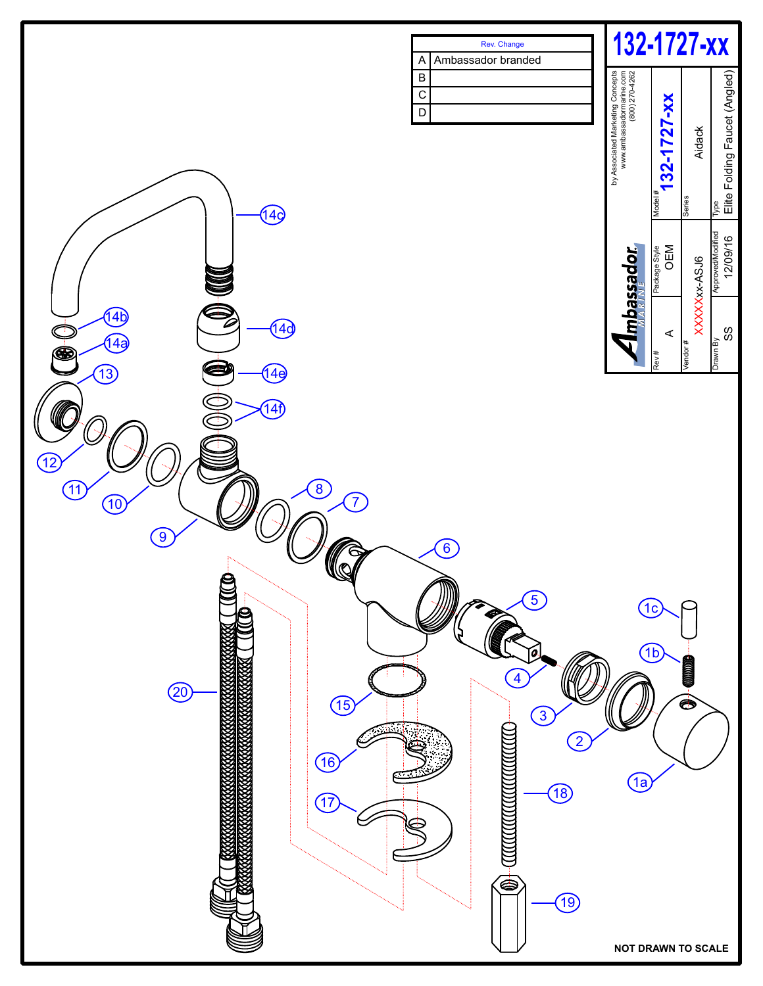